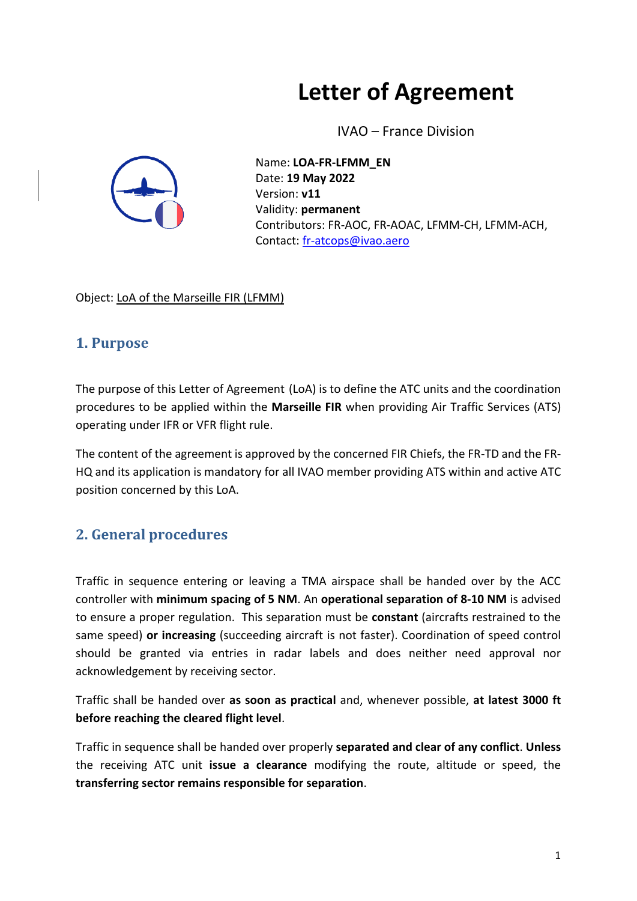# **Letter of Agreement**

IVAO – France Division



Name: **LOA-FR-LFMM\_EN** Date: **19 May 2022** Version: **v11** Validity: **permanent** Contributors: FR-AOC, FR-AOAC, LFMM-CH, LFMM-ACH, Contact: [fr-atcops@ivao.aero](mailto:fr-atcops@ivao.aero)

Object: LoA of the Marseille FIR (LFMM)

#### **1. Purpose**

The purpose of this Letter of Agreement (LoA) is to define the ATC units and the coordination procedures to be applied within the **Marseille FIR** when providing Air Traffic Services (ATS) operating under IFR or VFR flight rule.

The content of the agreement is approved by the concerned FIR Chiefs, the FR-TD and the FR-HQ and its application is mandatory for all IVAO member providing ATS within and active ATC position concerned by this LoA.

## **2. General procedures**

Traffic in sequence entering or leaving a TMA airspace shall be handed over by the ACC controller with **minimum spacing of 5 NM**. An **operational separation of 8-10 NM** is advised to ensure a proper regulation. This separation must be **constant** (aircrafts restrained to the same speed) **or increasing** (succeeding aircraft is not faster). Coordination of speed control should be granted via entries in radar labels and does neither need approval nor acknowledgement by receiving sector.

Traffic shall be handed over **as soon as practical** and, whenever possible, **at latest 3000 ft before reaching the cleared flight level**.

Traffic in sequence shall be handed over properly **separated and clear of any conflict**. **Unless**  the receiving ATC unit **issue a clearance** modifying the route, altitude or speed, the **transferring sector remains responsible for separation**.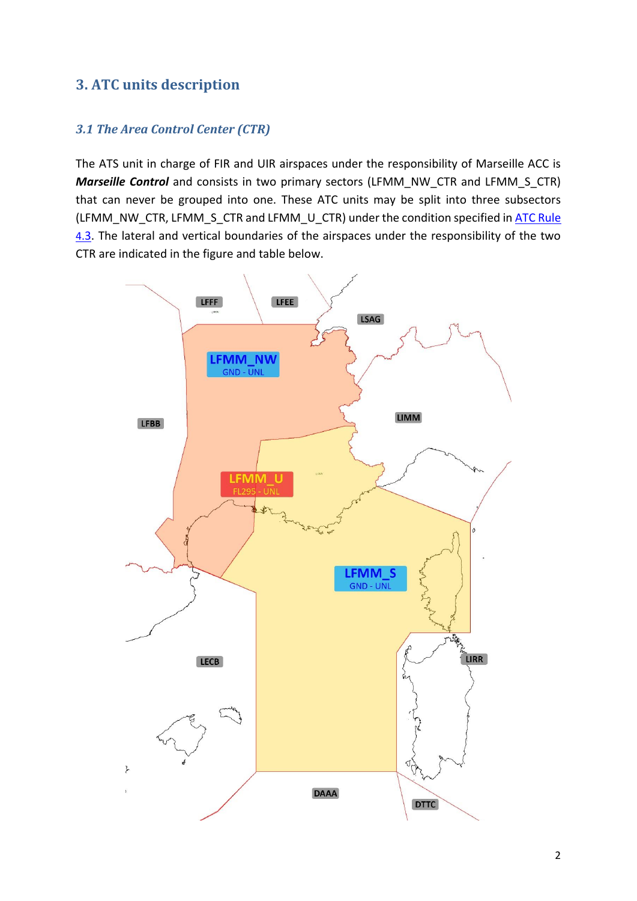### **3. ATC units description**

#### *3.1 The Area Control Center (CTR)*

The ATS unit in charge of FIR and UIR airspaces under the responsibility of Marseille ACC is *Marseille Control* and consists in two primary sectors (LFMM\_NW\_CTR and LFMM\_S\_CTR) that can never be grouped into one. These ATC units may be split into three subsectors (LFMM\_NW\_CTR, LFMM\_S\_CTR and LFMM\_U\_CTR) under the condition specified in ATC Rule [4.](https://www.ivao.fr/en/pages/atc/rules#sector_h1_3)[3.](https://www.ivao.fr/en/pages/atc/rules#sector_h1_3) The lateral and vertical boundaries of the airspaces under the responsibility of the two CTR are indicated in the figure and table below.

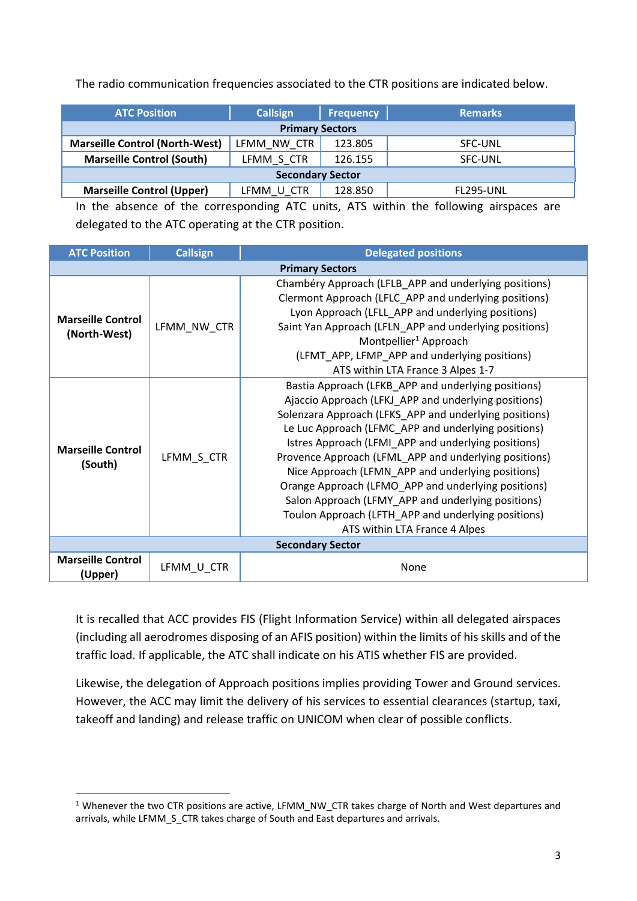The radio communication frequencies associated to the CTR positions are indicated below.

| <b>Callsign</b>                                                            | Frequency | <b>Remarks</b>   |  |  |  |  |  |  |
|----------------------------------------------------------------------------|-----------|------------------|--|--|--|--|--|--|
| <b>Primary Sectors</b>                                                     |           |                  |  |  |  |  |  |  |
| <b>Marseille Control (North-West)</b><br>123.805<br>LFMM NW CTR<br>SFC-UNL |           |                  |  |  |  |  |  |  |
| LFMM S CTR                                                                 | 126.155   | SFC-UNL          |  |  |  |  |  |  |
| <b>Secondary Sector</b>                                                    |           |                  |  |  |  |  |  |  |
| LFMM U CTR                                                                 | 128.850   | <b>FL295-UNL</b> |  |  |  |  |  |  |
|                                                                            |           |                  |  |  |  |  |  |  |

In the absence of the corresponding ATC units, ATS within the following airspaces are delegated to the ATC operating at the CTR position.

| <b>ATC Position</b>                      | <b>Callsign</b> | <b>Delegated positions</b>                                                                                                                                                                                                                                                                                                                                                                                                                                                                                                                                                                             |  |  |
|------------------------------------------|-----------------|--------------------------------------------------------------------------------------------------------------------------------------------------------------------------------------------------------------------------------------------------------------------------------------------------------------------------------------------------------------------------------------------------------------------------------------------------------------------------------------------------------------------------------------------------------------------------------------------------------|--|--|
|                                          |                 | <b>Primary Sectors</b>                                                                                                                                                                                                                                                                                                                                                                                                                                                                                                                                                                                 |  |  |
| <b>Marseille Control</b><br>(North-West) | LFMM NW CTR     | Chambéry Approach (LFLB_APP and underlying positions)<br>Clermont Approach (LFLC_APP and underlying positions)<br>Lyon Approach (LFLL_APP and underlying positions)<br>Saint Yan Approach (LFLN APP and underlying positions)<br>Montpellier <sup>1</sup> Approach<br>(LFMT_APP, LFMP_APP and underlying positions)<br>ATS within LTA France 3 Alpes 1-7                                                                                                                                                                                                                                               |  |  |
| <b>Marseille Control</b><br>(South)      | LFMM S CTR      | Bastia Approach (LFKB_APP and underlying positions)<br>Ajaccio Approach (LFKJ_APP and underlying positions)<br>Solenzara Approach (LFKS_APP and underlying positions)<br>Le Luc Approach (LFMC_APP and underlying positions)<br>Istres Approach (LFMI APP and underlying positions)<br>Provence Approach (LFML_APP and underlying positions)<br>Nice Approach (LFMN_APP and underlying positions)<br>Orange Approach (LFMO_APP and underlying positions)<br>Salon Approach (LFMY_APP and underlying positions)<br>Toulon Approach (LFTH_APP and underlying positions)<br>ATS within LTA France 4 Alpes |  |  |
|                                          |                 | <b>Secondary Sector</b>                                                                                                                                                                                                                                                                                                                                                                                                                                                                                                                                                                                |  |  |
| <b>Marseille Control</b><br>(Upper)      | LFMM_U_CTR      | None                                                                                                                                                                                                                                                                                                                                                                                                                                                                                                                                                                                                   |  |  |

It is recalled that ACC provides FIS (Flight Information Service) within all delegated airspaces (including all aerodromes disposing of an AFIS position) within the limits of his skills and of the traffic load. If applicable, the ATC shall indicate on his ATIS whether FIS are provided.

Likewise, the delegation of Approach positions implies providing Tower and Ground services. However, the ACC may limit the delivery of his services to essential clearances (startup, taxi, takeoff and landing) and release traffic on UNICOM when clear of possible conflicts.

<sup>1</sup> Whenever the two CTR positions are active, LFMM\_NW\_CTR takes charge of North and West departures and arrivals, while LFMM\_S\_CTR takes charge of South and East departures and arrivals.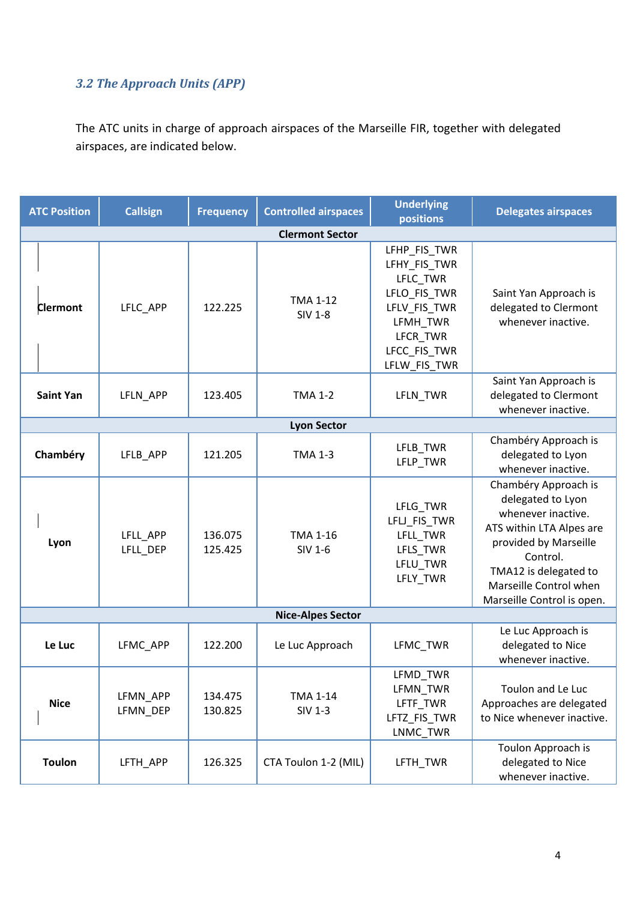## *3.2 The Approach Units (APP)*

The ATC units in charge of approach airspaces of the Marseille FIR, together with delegated airspaces, are indicated below.

| <b>ATC Position</b> | <b>Callsign</b>      | <b>Frequency</b>   | <b>Controlled airspaces</b>       | <b>Underlying</b><br>positions                                                                                                   | <b>Delegates airspaces</b>                                                                                                                                                                                        |
|---------------------|----------------------|--------------------|-----------------------------------|----------------------------------------------------------------------------------------------------------------------------------|-------------------------------------------------------------------------------------------------------------------------------------------------------------------------------------------------------------------|
|                     |                      |                    | <b>Clermont Sector</b>            |                                                                                                                                  |                                                                                                                                                                                                                   |
| <b>Clermont</b>     | LFLC_APP             | 122.225            | <b>TMA 1-12</b><br><b>SIV 1-8</b> | LFHP_FIS_TWR<br>LFHY_FIS_TWR<br>LFLC_TWR<br>LFLO_FIS_TWR<br>LFLV_FIS_TWR<br>LFMH_TWR<br>LFCR_TWR<br>LFCC_FIS_TWR<br>LFLW_FIS_TWR | Saint Yan Approach is<br>delegated to Clermont<br>whenever inactive.                                                                                                                                              |
| <b>Saint Yan</b>    | LFLN_APP             | 123.405            | <b>TMA 1-2</b>                    | LFLN_TWR                                                                                                                         | Saint Yan Approach is<br>delegated to Clermont<br>whenever inactive.                                                                                                                                              |
|                     |                      |                    | <b>Lyon Sector</b>                |                                                                                                                                  |                                                                                                                                                                                                                   |
| Chambéry            | LFLB_APP             | 121.205            | <b>TMA 1-3</b>                    | LFLB_TWR<br>LFLP_TWR                                                                                                             | Chambéry Approach is<br>delegated to Lyon<br>whenever inactive.                                                                                                                                                   |
| Lyon                | LFLL_APP<br>LFLL_DEP | 136.075<br>125.425 | <b>TMA 1-16</b><br><b>SIV 1-6</b> | LFLG_TWR<br>LFLJ_FIS_TWR<br>LFLL_TWR<br>LFLS_TWR<br>LFLU_TWR<br>LFLY_TWR                                                         | Chambéry Approach is<br>delegated to Lyon<br>whenever inactive.<br>ATS within LTA Alpes are<br>provided by Marseille<br>Control.<br>TMA12 is delegated to<br>Marseille Control when<br>Marseille Control is open. |
|                     |                      |                    | <b>Nice-Alpes Sector</b>          |                                                                                                                                  |                                                                                                                                                                                                                   |
| Le Luc              | LFMC_APP             | 122.200            | Le Luc Approach                   | LFMC_TWR                                                                                                                         | Le Luc Approach is<br>delegated to Nice<br>whenever inactive.                                                                                                                                                     |
| <b>Nice</b>         | LFMN_APP<br>LFMN_DEP | 134.475<br>130.825 | <b>TMA 1-14</b><br><b>SIV 1-3</b> | LFMD_TWR<br>LFMN_TWR<br>LFTF_TWR<br>LFTZ_FIS_TWR<br>LNMC_TWR                                                                     | Toulon and Le Luc<br>Approaches are delegated<br>to Nice whenever inactive.                                                                                                                                       |
| <b>Toulon</b>       | LFTH_APP             | 126.325            | CTA Toulon 1-2 (MIL)              | LFTH_TWR                                                                                                                         | Toulon Approach is<br>delegated to Nice<br>whenever inactive.                                                                                                                                                     |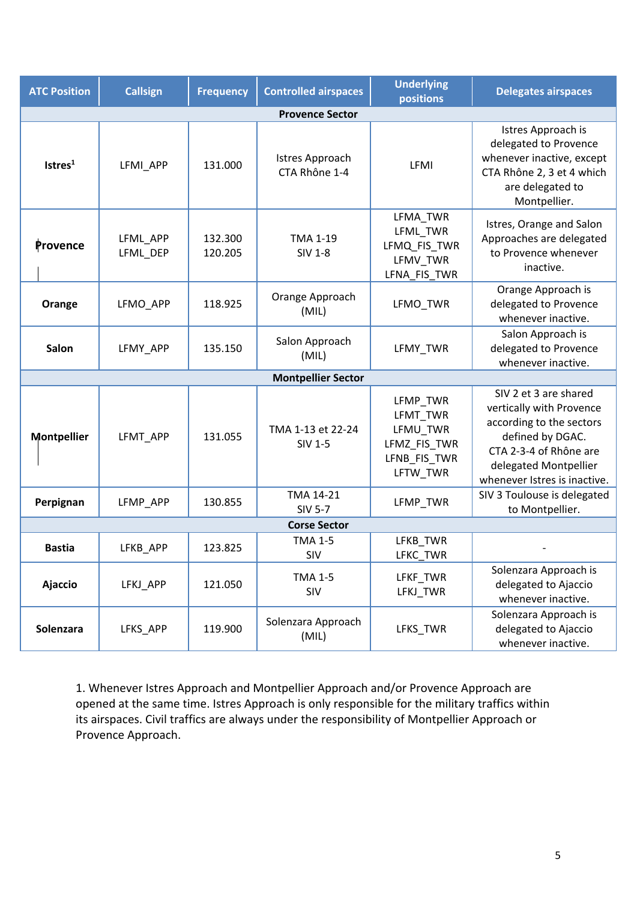| <b>ATC Position</b>             | <b>Callsign</b>      | <b>Frequency</b>   | <b>Controlled airspaces</b>             | <b>Underlying</b><br>positions                                               | <b>Delegates airspaces</b>                                                                                                                                                           |
|---------------------------------|----------------------|--------------------|-----------------------------------------|------------------------------------------------------------------------------|--------------------------------------------------------------------------------------------------------------------------------------------------------------------------------------|
|                                 |                      |                    | <b>Provence Sector</b>                  |                                                                              |                                                                                                                                                                                      |
| I <sub>stres</sub> <sup>1</sup> | LFMI_APP             | 131.000            | <b>Istres Approach</b><br>CTA Rhône 1-4 | LFMI                                                                         | Istres Approach is<br>delegated to Provence<br>whenever inactive, except<br>CTA Rhône 2, 3 et 4 which<br>are delegated to<br>Montpellier.                                            |
| Provence                        | LFML_APP<br>LFML_DEP | 132.300<br>120.205 | <b>TMA 1-19</b><br><b>SIV 1-8</b>       | LFMA_TWR<br>LFML_TWR<br>LFMQ_FIS_TWR<br>LFMV_TWR<br>LFNA_FIS_TWR             | Istres, Orange and Salon<br>Approaches are delegated<br>to Provence whenever<br>inactive.                                                                                            |
| Orange                          | LFMO APP             | 118.925            | Orange Approach<br>(MIL)                | LFMO TWR                                                                     | Orange Approach is<br>delegated to Provence<br>whenever inactive.                                                                                                                    |
| Salon                           | LFMY_APP             | 135.150            | Salon Approach<br>(MIL)                 | LFMY_TWR                                                                     | Salon Approach is<br>delegated to Provence<br>whenever inactive.                                                                                                                     |
|                                 |                      |                    | <b>Montpellier Sector</b>               |                                                                              |                                                                                                                                                                                      |
| <b>Montpellier</b>              | LFMT_APP             | 131.055            | TMA 1-13 et 22-24<br>SIV 1-5            | LFMP_TWR<br>LFMT_TWR<br>LFMU_TWR<br>LFMZ_FIS_TWR<br>LFNB_FIS_TWR<br>LFTW_TWR | SIV 2 et 3 are shared<br>vertically with Provence<br>according to the sectors<br>defined by DGAC.<br>CTA 2-3-4 of Rhône are<br>delegated Montpellier<br>whenever Istres is inactive. |
| Perpignan                       | LFMP_APP             | 130.855            | TMA 14-21<br><b>SIV 5-7</b>             | LFMP TWR                                                                     | SIV 3 Toulouse is delegated<br>to Montpellier.                                                                                                                                       |
|                                 |                      |                    | <b>Corse Sector</b>                     |                                                                              |                                                                                                                                                                                      |
| <b>Bastia</b>                   | LFKB_APP             | 123.825            | <b>TMA 1-5</b><br>SIV                   | LFKB_TWR<br>LFKC_TWR                                                         |                                                                                                                                                                                      |
| Ajaccio                         | LFKJ_APP             | 121.050            | <b>TMA 1-5</b><br>SIV                   | LFKF_TWR<br>LFKJ_TWR                                                         | Solenzara Approach is<br>delegated to Ajaccio<br>whenever inactive.                                                                                                                  |
| Solenzara                       | LFKS_APP             | 119.900            | Solenzara Approach<br>(MIL)             | LFKS_TWR                                                                     | Solenzara Approach is<br>delegated to Ajaccio<br>whenever inactive.                                                                                                                  |

1. Whenever Istres Approach and Montpellier Approach and/or Provence Approach are opened at the same time. Istres Approach is only responsible for the military traffics within its airspaces. Civil traffics are always under the responsibility of Montpellier Approach or Provence Approach.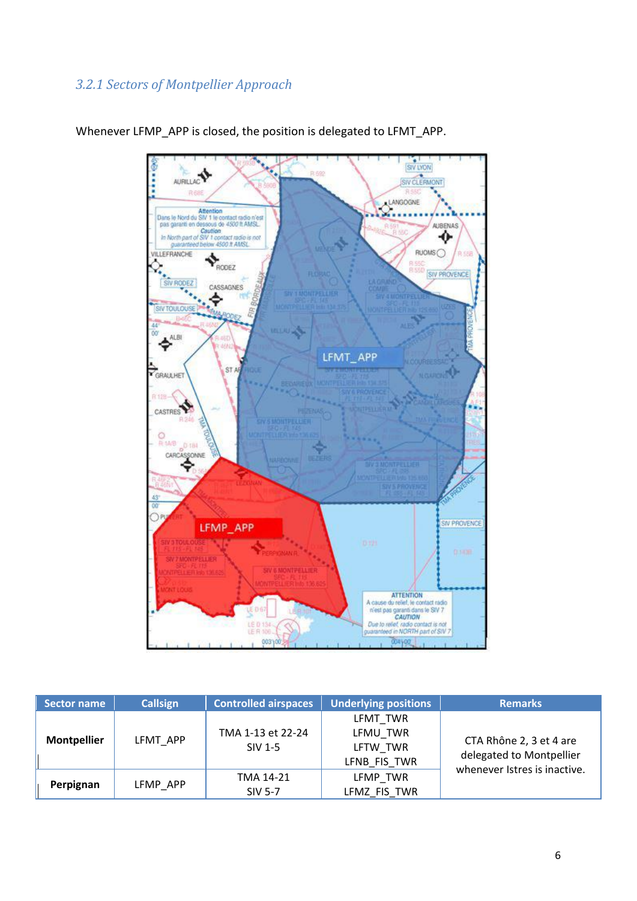#### *3.2.1 Sectors of Montpellier Approach*



Whenever LFMP\_APP is closed, the position is delegated to LFMT\_APP.

| Sector name        | <b>Callsign</b> | <b>Controlled airspaces</b>  | <b>Underlying positions</b>                      | <b>Remarks</b>                                                                      |
|--------------------|-----------------|------------------------------|--------------------------------------------------|-------------------------------------------------------------------------------------|
| <b>Montpellier</b> | LFMT APP        | TMA 1-13 et 22-24<br>SIV 1-5 | LFMT TWR<br>LFMU TWR<br>LFTW TWR<br>LFNB FIS TWR | CTA Rhône 2, 3 et 4 are<br>delegated to Montpellier<br>whenever Istres is inactive. |
| Perpignan          | LFMP APP        | TMA 14-21<br><b>SIV 5-7</b>  | LFMP TWR<br>LFMZ FIS TWR                         |                                                                                     |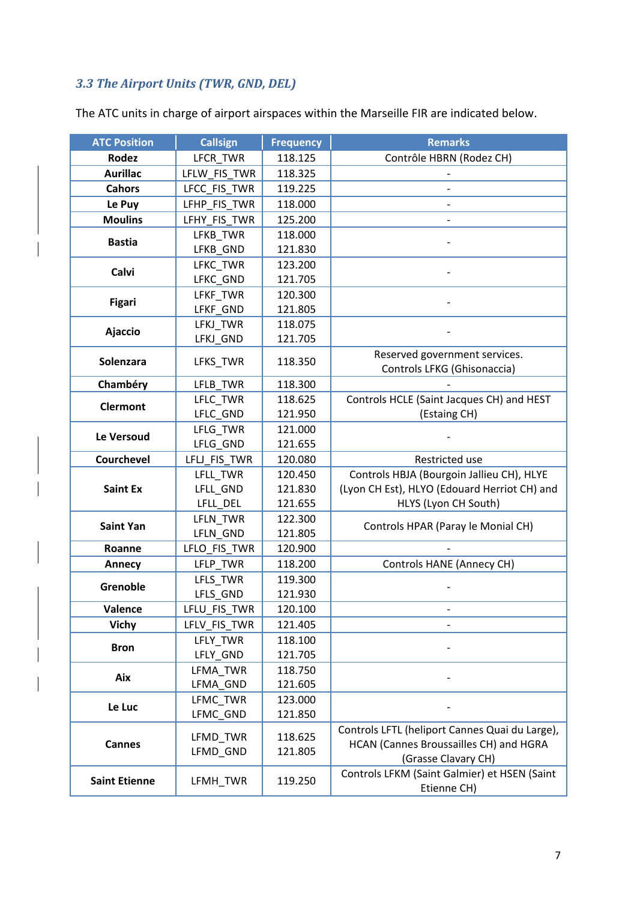## *3.3 The Airport Units (TWR, GND, DEL)*

| <b>ATC Position</b>  | <b>Callsign</b> | <b>Frequency</b> | <b>Remarks</b>                                                                           |
|----------------------|-----------------|------------------|------------------------------------------------------------------------------------------|
| Rodez                | LFCR_TWR        | 118.125          | Contrôle HBRN (Rodez CH)                                                                 |
| <b>Aurillac</b>      | LFLW_FIS_TWR    | 118.325          |                                                                                          |
| <b>Cahors</b>        | LFCC_FIS_TWR    | 119.225          |                                                                                          |
| Le Puy               | LFHP_FIS_TWR    | 118.000          |                                                                                          |
| <b>Moulins</b>       | LFHY_FIS_TWR    | 125.200          |                                                                                          |
|                      | LFKB_TWR        | 118.000          |                                                                                          |
| <b>Bastia</b>        | LFKB_GND        | 121.830          |                                                                                          |
|                      | LFKC TWR        | 123.200          |                                                                                          |
| Calvi                | LFKC_GND        | 121.705          |                                                                                          |
| <b>Figari</b>        | LFKF TWR        | 120.300          |                                                                                          |
|                      | LFKF_GND        | 121.805          |                                                                                          |
|                      | LFKJ_TWR        | 118.075          |                                                                                          |
| Ajaccio              | LFKJ_GND        | 121.705          |                                                                                          |
| Solenzara            | LFKS TWR        | 118.350          | Reserved government services.                                                            |
|                      |                 |                  | Controls LFKG (Ghisonaccia)                                                              |
| Chambéry             | LFLB_TWR        | 118.300          |                                                                                          |
| <b>Clermont</b>      | LFLC_TWR        | 118.625          | Controls HCLE (Saint Jacques CH) and HEST                                                |
|                      | LFLC GND        | 121.950          | (Estaing CH)                                                                             |
| Le Versoud           | LFLG TWR        | 121.000          |                                                                                          |
|                      | LFLG_GND        | 121.655          |                                                                                          |
| <b>Courchevel</b>    | LFLJ_FIS_TWR    | 120.080          | Restricted use                                                                           |
|                      | LFLL TWR        | 120.450          | Controls HBJA (Bourgoin Jallieu CH), HLYE                                                |
| <b>Saint Ex</b>      | LFLL_GND        | 121.830          | (Lyon CH Est), HLYO (Edouard Herriot CH) and                                             |
|                      | LFLL_DEL        | 121.655          | HLYS (Lyon CH South)                                                                     |
| <b>Saint Yan</b>     | LFLN_TWR        | 122.300          | Controls HPAR (Paray le Monial CH)                                                       |
|                      | LFLN_GND        | 121.805          |                                                                                          |
| Roanne               | LFLO_FIS_TWR    | 120.900          |                                                                                          |
| Annecy               | LFLP_TWR        | 118.200          | <b>Controls HANE (Annecy CH)</b>                                                         |
| Grenoble             | LFLS_TWR        | 119.300          |                                                                                          |
|                      | LFLS_GND        | 121.930          |                                                                                          |
| Valence              | LFLU_FIS_TWR    | 120.100          |                                                                                          |
| <b>Vichy</b>         | LFLV FIS TWR    | 121.405          |                                                                                          |
| <b>Bron</b>          | LFLY_TWR        | 118.100          |                                                                                          |
|                      | LFLY_GND        | 121.705          |                                                                                          |
| Aix                  | LFMA_TWR        | 118.750          |                                                                                          |
|                      | LFMA GND        | 121.605          |                                                                                          |
| Le Luc               | LFMC_TWR        | 123.000          |                                                                                          |
|                      | LFMC_GND        | 121.850          |                                                                                          |
|                      | LFMD_TWR        | 118.625          | Controls LFTL (heliport Cannes Quai du Large),<br>HCAN (Cannes Broussailles CH) and HGRA |
| <b>Cannes</b>        | LFMD_GND        | 121.805          | (Grasse Clavary CH)                                                                      |
|                      |                 |                  | Controls LFKM (Saint Galmier) et HSEN (Saint                                             |
| <b>Saint Etienne</b> | LFMH_TWR        | 119.250          | Etienne CH)                                                                              |
|                      |                 |                  |                                                                                          |

The ATC units in charge of airport airspaces within the Marseille FIR are indicated below.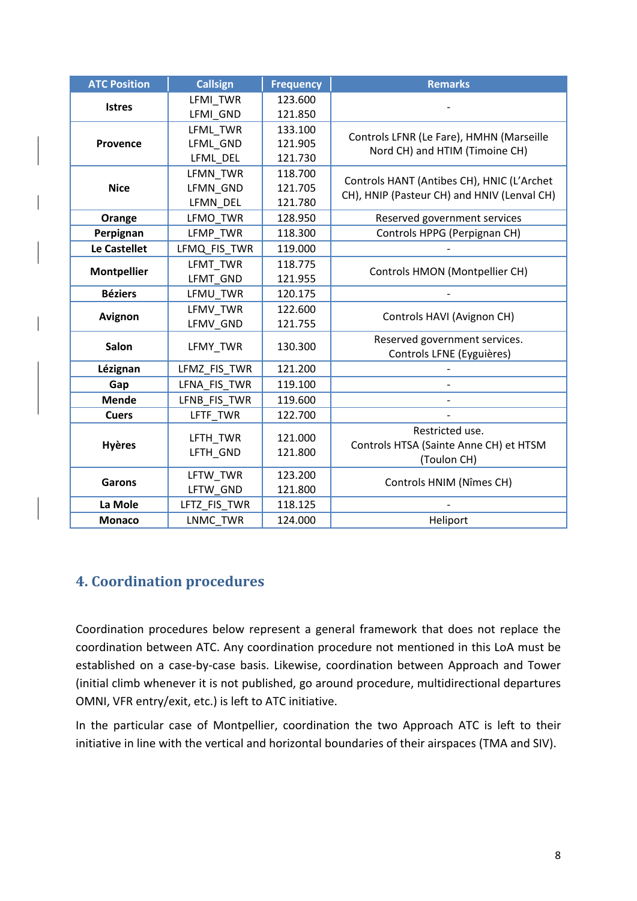| <b>ATC Position</b> | <b>Callsign</b> | <b>Frequency</b> | <b>Remarks</b>                              |
|---------------------|-----------------|------------------|---------------------------------------------|
|                     | LFMI TWR        | 123.600          |                                             |
| <b>Istres</b>       | LFMI GND        | 121.850          |                                             |
|                     | LFML TWR        | 133.100          | Controls LFNR (Le Fare), HMHN (Marseille    |
| <b>Provence</b>     | LFML GND        | 121.905          | Nord CH) and HTIM (Timoine CH)              |
|                     | LFML DEL        | 121.730          |                                             |
|                     | LFMN TWR        | 118.700          | Controls HANT (Antibes CH), HNIC (L'Archet  |
| <b>Nice</b>         | LFMN_GND        | 121.705          | CH), HNIP (Pasteur CH) and HNIV (Lenval CH) |
|                     | LFMN_DEL        | 121.780          |                                             |
| Orange              | LFMO TWR        | 128.950          | Reserved government services                |
| Perpignan           | LFMP TWR        | 118.300          | Controls HPPG (Perpignan CH)                |
| Le Castellet        | LFMQ_FIS_TWR    | 119.000          |                                             |
|                     | LFMT TWR        | 118.775          | Controls HMON (Montpellier CH)              |
| <b>Montpellier</b>  | LFMT GND        | 121.955          |                                             |
| <b>Béziers</b>      | LFMU TWR        | 120.175          |                                             |
| Avignon             | LFMV TWR        | 122.600          | Controls HAVI (Avignon CH)                  |
|                     | LFMV GND        | 121.755          |                                             |
| Salon               | LFMY_TWR        | 130.300          | Reserved government services.               |
|                     |                 |                  | Controls LFNE (Eyguières)                   |
| Lézignan            | LFMZ_FIS_TWR    | 121.200          |                                             |
| Gap                 | LFNA FIS TWR    | 119.100          |                                             |
| <b>Mende</b>        | LFNB FIS TWR    | 119.600          |                                             |
| <b>Cuers</b>        | LFTF_TWR        | 122.700          |                                             |
|                     | LFTH TWR        | 121.000          | Restricted use.                             |
| <b>Hyères</b>       | LFTH GND        | 121.800          | Controls HTSA (Sainte Anne CH) et HTSM      |
|                     |                 |                  | (Toulon CH)                                 |
| <b>Garons</b>       | LFTW_TWR        | 123.200          | Controls HNIM (Nîmes CH)                    |
|                     | LFTW_GND        | 121.800          |                                             |
| La Mole             | LFTZ_FIS_TWR    | 118.125          |                                             |
| <b>Monaco</b>       | LNMC TWR        | 124.000          | Heliport                                    |

#### **4. Coordination procedures**

Coordination procedures below represent a general framework that does not replace the coordination between ATC. Any coordination procedure not mentioned in this LoA must be established on a case-by-case basis. Likewise, coordination between Approach and Tower (initial climb whenever it is not published, go around procedure, multidirectional departures OMNI, VFR entry/exit, etc.) is left to ATC initiative.

In the particular case of Montpellier, coordination the two Approach ATC is left to their initiative in line with the vertical and horizontal boundaries of their airspaces (TMA and SIV).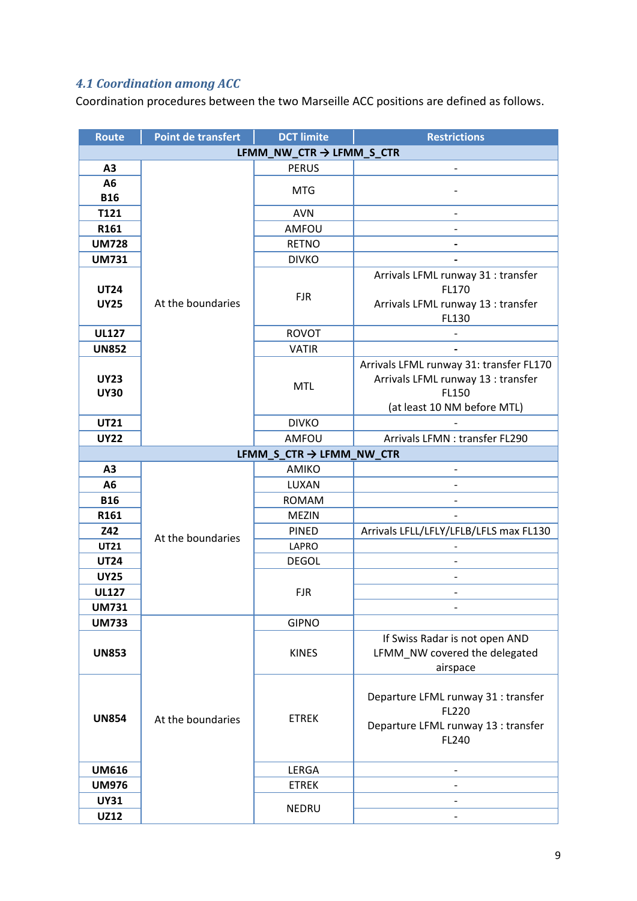#### *4.1 Coordination among ACC*

Coordination procedures between the two Marseille ACC positions are defined as follows.

| <b>Route</b>             | <b>Point de transfert</b> | <b>DCT limite</b>                    | <b>Restrictions</b>                     |  |  |  |  |  |
|--------------------------|---------------------------|--------------------------------------|-----------------------------------------|--|--|--|--|--|
|                          |                           | LFMM_NW_CTR $\rightarrow$ LFMM_S_CTR |                                         |  |  |  |  |  |
| A <sub>3</sub>           |                           | <b>PERUS</b>                         | $\overline{\phantom{a}}$                |  |  |  |  |  |
| A <sub>6</sub>           |                           |                                      |                                         |  |  |  |  |  |
| <b>B16</b>               |                           | <b>MTG</b>                           |                                         |  |  |  |  |  |
| T121                     |                           | <b>AVN</b>                           |                                         |  |  |  |  |  |
| R161                     |                           | AMFOU                                |                                         |  |  |  |  |  |
| <b>UM728</b>             |                           | <b>RETNO</b>                         |                                         |  |  |  |  |  |
| <b>UM731</b>             |                           | <b>DIVKO</b>                         |                                         |  |  |  |  |  |
|                          |                           |                                      | Arrivals LFML runway 31 : transfer      |  |  |  |  |  |
| <b>UT24</b>              |                           | <b>FJR</b>                           | FL170                                   |  |  |  |  |  |
| <b>UY25</b>              | At the boundaries         |                                      | Arrivals LFML runway 13 : transfer      |  |  |  |  |  |
|                          |                           |                                      | FL130                                   |  |  |  |  |  |
| <b>UL127</b>             |                           | <b>ROVOT</b>                         |                                         |  |  |  |  |  |
| <b>UN852</b>             |                           | <b>VATIR</b>                         |                                         |  |  |  |  |  |
|                          |                           |                                      | Arrivals LFML runway 31: transfer FL170 |  |  |  |  |  |
| <b>UY23</b>              |                           | <b>MTL</b>                           | Arrivals LFML runway 13 : transfer      |  |  |  |  |  |
| <b>UY30</b>              |                           |                                      | FL150<br>(at least 10 NM before MTL)    |  |  |  |  |  |
| <b>UT21</b>              |                           | <b>DIVKO</b>                         |                                         |  |  |  |  |  |
| <b>UY22</b>              |                           | AMFOU                                | Arrivals LFMN : transfer FL290          |  |  |  |  |  |
| LFMM_S_CTR → LFMM_NW_CTR |                           |                                      |                                         |  |  |  |  |  |
| A3                       |                           | AMIKO                                |                                         |  |  |  |  |  |
| A <sub>6</sub>           |                           | LUXAN                                |                                         |  |  |  |  |  |
| <b>B16</b>               |                           | <b>ROMAM</b>                         |                                         |  |  |  |  |  |
| R161                     |                           | <b>MEZIN</b>                         |                                         |  |  |  |  |  |
| Z42                      |                           | <b>PINED</b>                         | Arrivals LFLL/LFLY/LFLB/LFLS max FL130  |  |  |  |  |  |
| <b>UT21</b>              | At the boundaries         | LAPRO                                |                                         |  |  |  |  |  |
| <b>UT24</b>              |                           | <b>DEGOL</b>                         |                                         |  |  |  |  |  |
| <b>UY25</b>              |                           |                                      |                                         |  |  |  |  |  |
| <b>UL127</b>             |                           | <b>FJR</b>                           |                                         |  |  |  |  |  |
| <b>UM731</b>             |                           |                                      |                                         |  |  |  |  |  |
| <b>UM733</b>             |                           | <b>GIPNO</b>                         |                                         |  |  |  |  |  |
|                          |                           |                                      | If Swiss Radar is not open AND          |  |  |  |  |  |
| <b>UN853</b>             |                           | <b>KINES</b>                         | LFMM_NW covered the delegated           |  |  |  |  |  |
|                          |                           |                                      | airspace                                |  |  |  |  |  |
|                          |                           |                                      |                                         |  |  |  |  |  |
|                          |                           |                                      | Departure LFML runway 31 : transfer     |  |  |  |  |  |
| <b>UN854</b>             | At the boundaries         | <b>ETREK</b>                         | FL220                                   |  |  |  |  |  |
|                          |                           |                                      | Departure LFML runway 13 : transfer     |  |  |  |  |  |
|                          |                           |                                      | FL240                                   |  |  |  |  |  |
|                          |                           |                                      |                                         |  |  |  |  |  |
| <b>UM616</b>             |                           | LERGA                                |                                         |  |  |  |  |  |
| <b>UM976</b>             |                           | <b>ETREK</b>                         |                                         |  |  |  |  |  |
| <b>UY31</b>              |                           | <b>NEDRU</b>                         |                                         |  |  |  |  |  |
| <b>UZ12</b>              |                           |                                      |                                         |  |  |  |  |  |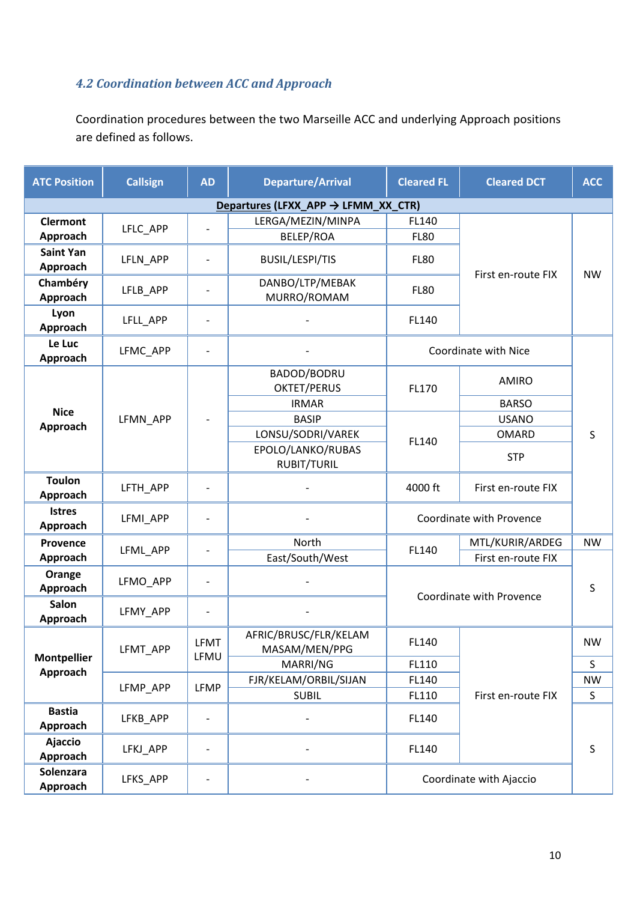## *4.2 Coordination between ACC and Approach*

Coordination procedures between the two Marseille ACC and underlying Approach positions are defined as follows.

| <b>ATC Position</b>            | <b>Callsign</b> | <b>AD</b>                | <b>Departure/Arrival</b>               | <b>Cleared FL</b>    | <b>Cleared DCT</b>       | <b>ACC</b> |
|--------------------------------|-----------------|--------------------------|----------------------------------------|----------------------|--------------------------|------------|
|                                |                 |                          | Departures (LFXX_APP → LFMM_XX_CTR)    |                      |                          |            |
| <b>Clermont</b><br>Approach    | LFLC_APP        | -                        | LERGA/MEZIN/MINPA<br><b>BELEP/ROA</b>  | FL140<br><b>FL80</b> |                          |            |
| <b>Saint Yan</b><br>Approach   | LFLN APP        |                          | <b>BUSIL/LESPI/TIS</b>                 | <b>FL80</b>          |                          |            |
| Chambéry<br>Approach           | LFLB_APP        |                          | DANBO/LTP/MEBAK<br>MURRO/ROMAM         | <b>FL80</b>          | First en-route FIX       | <b>NW</b>  |
| Lyon<br>Approach               | LFLL_APP        | $\overline{a}$           |                                        | FL140                |                          |            |
| Le Luc<br>Approach             | LFMC_APP        | $\overline{\phantom{0}}$ |                                        |                      | Coordinate with Nice     |            |
|                                |                 |                          | BADOD/BODRU<br><b>OKTET/PERUS</b>      | FL170                | <b>AMIRO</b>             |            |
| <b>Nice</b><br>Approach        | LFMN_APP        |                          | <b>IRMAR</b>                           |                      | <b>BARSO</b>             | S          |
|                                |                 |                          | <b>BASIP</b>                           | FL140                | <b>USANO</b>             |            |
|                                |                 |                          | LONSU/SODRI/VAREK                      |                      | <b>OMARD</b>             |            |
|                                |                 |                          | EPOLO/LANKO/RUBAS<br>RUBIT/TURIL       |                      | <b>STP</b>               |            |
| <b>Toulon</b><br>Approach      | LFTH APP        |                          |                                        | 4000 ft              | First en-route FIX       |            |
| <b>Istres</b><br>Approach      | LFMI_APP        | $\overline{a}$           |                                        |                      | Coordinate with Provence |            |
| Provence                       |                 |                          | North                                  |                      | MTL/KURIR/ARDEG          | <b>NW</b>  |
| Approach                       | LFML_APP        | -                        | East/South/West                        | FL140                | First en-route FIX       |            |
| Orange<br>Approach             | LFMO_APP        | -                        |                                        |                      |                          | S          |
| <b>Salon</b><br>Approach       | LFMY_APP        |                          |                                        |                      | Coordinate with Provence |            |
|                                | LFMT_APP        | <b>LFMT</b>              | AFRIC/BRUSC/FLR/KELAM<br>MASAM/MEN/PPG | FL140                |                          | <b>NW</b>  |
| <b>Montpellier</b><br>Approach |                 | LFMU                     | MARRI/NG                               | FL110                |                          | S          |
|                                | LFMP_APP        | <b>LFMP</b>              | FJR/KELAM/ORBIL/SIJAN                  | FL140                |                          | <b>NW</b>  |
|                                |                 |                          | <b>SUBIL</b>                           | FL110                | First en-route FIX       | S          |
| <b>Bastia</b><br>Approach      | LFKB_APP        | $\overline{\phantom{0}}$ |                                        | FL140                |                          |            |
| <b>Ajaccio</b><br>Approach     | LFKJ_APP        | -                        |                                        | FL140                |                          | $\sf S$    |
| Solenzara<br>Approach          | LFKS_APP        |                          |                                        |                      | Coordinate with Ajaccio  |            |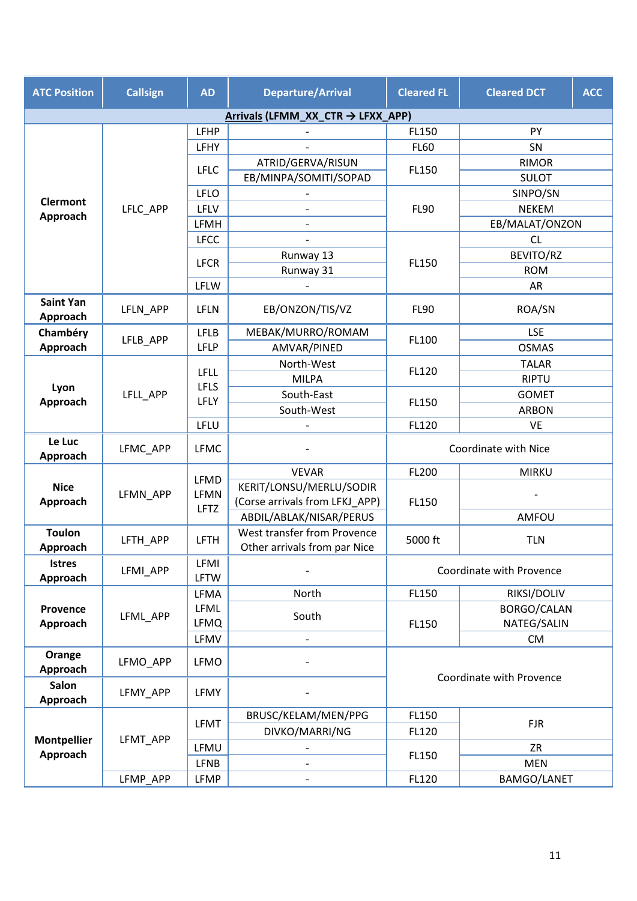| <b>ATC Position</b>          | <b>Callsign</b> | <b>AD</b>                   | <b>Departure/Arrival</b>                                    | <b>Cleared FL</b>           | <b>Cleared DCT</b>       | <b>ACC</b> |
|------------------------------|-----------------|-----------------------------|-------------------------------------------------------------|-----------------------------|--------------------------|------------|
|                              |                 |                             | Arrivals (LFMM_XX_CTR → LFXX_APP)                           |                             |                          |            |
|                              |                 | <b>LFHP</b>                 |                                                             | FL150                       | PY                       |            |
|                              |                 | LFHY                        |                                                             | <b>FL60</b>                 | SN                       |            |
|                              |                 |                             | ATRID/GERVA/RISUN                                           |                             | <b>RIMOR</b>             |            |
|                              |                 | <b>LFLC</b>                 | EB/MINPA/SOMITI/SOPAD                                       | FL150                       | <b>SULOT</b>             |            |
| <b>Clermont</b>              |                 | <b>LFLO</b>                 |                                                             |                             | SINPO/SN                 |            |
| Approach                     | LFLC_APP        | LFLV                        |                                                             | <b>FL90</b><br><b>NEKEM</b> |                          |            |
|                              |                 | LFMH                        |                                                             |                             | EB/MALAT/ONZON           |            |
|                              |                 | <b>LFCC</b>                 |                                                             |                             | <b>CL</b>                |            |
|                              |                 | <b>LFCR</b>                 | Runway 13                                                   | FL150                       | BEVITO/RZ                |            |
|                              |                 |                             | Runway 31                                                   |                             | <b>ROM</b>               |            |
|                              |                 | LFLW                        |                                                             |                             | AR                       |            |
| <b>Saint Yan</b><br>Approach | LFLN_APP        | <b>LFLN</b>                 | EB/ONZON/TIS/VZ                                             | <b>FL90</b>                 | ROA/SN                   |            |
| Chambéry                     |                 | <b>LFLB</b>                 | MEBAK/MURRO/ROMAM                                           |                             | <b>LSE</b>               |            |
| Approach                     | LFLB_APP        | <b>LFLP</b>                 | AMVAR/PINED                                                 | FL100                       | <b>OSMAS</b>             |            |
|                              | LFLL APP        |                             | North-West                                                  |                             | <b>TALAR</b>             |            |
|                              |                 | <b>LFLL</b><br><b>LFLS</b>  | <b>MILPA</b>                                                | FL120                       | <b>RIPTU</b>             |            |
| Lyon<br>Approach             |                 | LFLY                        | South-East                                                  | FL150                       | <b>GOMET</b>             |            |
|                              |                 |                             | South-West                                                  |                             | <b>ARBON</b>             |            |
|                              |                 | LFLU                        |                                                             | FL120                       | <b>VE</b>                |            |
| Le Luc<br>Approach           | LFMC_APP        | <b>LFMC</b>                 |                                                             |                             | Coordinate with Nice     |            |
|                              | LFMN APP        | LFMD<br>LFMN<br><b>LFTZ</b> | <b>VEVAR</b>                                                | FL200                       | <b>MIRKU</b>             |            |
| <b>Nice</b>                  |                 |                             | KERIT/LONSU/MERLU/SODIR                                     | FL150                       |                          |            |
| Approach                     |                 |                             | (Corse arrivals from LFKJ_APP)                              |                             |                          |            |
|                              |                 |                             | ABDIL/ABLAK/NISAR/PERUS                                     |                             | AMFOU                    |            |
| <b>Toulon</b><br>Approach    | LFTH_APP        | <b>LFTH</b>                 | West transfer from Provence<br>Other arrivals from par Nice | 5000 ft                     | <b>TLN</b>               |            |
| <b>Istres</b><br>Approach    | LFMI APP        | LFMI<br><b>LFTW</b>         |                                                             |                             | Coordinate with Provence |            |
|                              |                 | LFMA                        | North                                                       | FL150                       | RIKSI/DOLIV              |            |
| Provence                     | LFML_APP        | <b>LFML</b>                 | South                                                       |                             | BORGO/CALAN              |            |
| Approach                     |                 | <b>LFMQ</b>                 |                                                             | FL150                       | NATEG/SALIN              |            |
|                              |                 | LFMV                        |                                                             |                             | <b>CM</b>                |            |
| Orange                       | LFMO_APP        | <b>LFMO</b>                 |                                                             |                             |                          |            |
| Approach<br>Salon            |                 |                             |                                                             |                             | Coordinate with Provence |            |
| Approach                     | LFMY_APP        | LFMY                        |                                                             |                             |                          |            |
|                              |                 | <b>LFMT</b>                 | BRUSC/KELAM/MEN/PPG                                         | FL150                       | <b>FJR</b>               |            |
| <b>Montpellier</b>           | LFMT_APP        |                             | DIVKO/MARRI/NG                                              | FL120                       |                          |            |
| Approach                     |                 | LFMU                        |                                                             | FL150                       | ZR                       |            |
|                              |                 | <b>LFNB</b>                 |                                                             |                             | <b>MEN</b>               |            |
|                              | LFMP_APP        | LFMP                        |                                                             | FL120                       | BAMGO/LANET              |            |